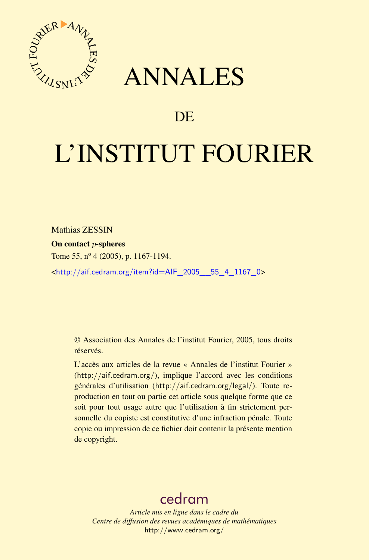



# DE

# L'INSTITUT FOURIER

Mathias ZESSIN

On contact p-spheres

Tome 55,  $n^{\circ}$  4 (2005), p. 1167-1194.

<[http://aif.cedram.org/item?id=AIF\\_2005\\_\\_55\\_4\\_1167\\_0](http://aif.cedram.org/item?id=AIF_2005__55_4_1167_0)>

© Association des Annales de l'institut Fourier, 2005, tous droits réservés.

L'accès aux articles de la revue « Annales de l'institut Fourier » (<http://aif.cedram.org/>), implique l'accord avec les conditions générales d'utilisation (<http://aif.cedram.org/legal/>). Toute reproduction en tout ou partie cet article sous quelque forme que ce soit pour tout usage autre que l'utilisation à fin strictement personnelle du copiste est constitutive d'une infraction pénale. Toute copie ou impression de ce fichier doit contenir la présente mention de copyright.

# [cedram](http://www.cedram.org/)

*Article mis en ligne dans le cadre du Centre de diffusion des revues académiques de mathématiques* <http://www.cedram.org/>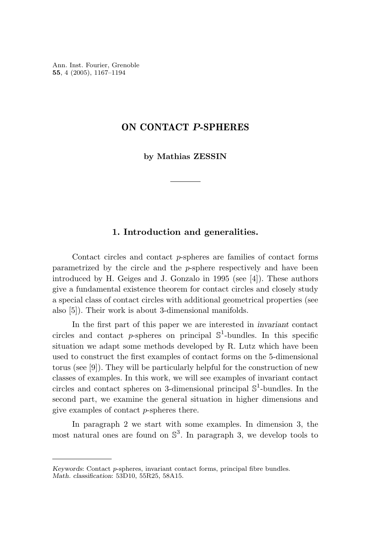Ann. Inst. Fourier, Grenoble **55**, 4 (2005), 1167–1194

#### **ON CONTACT** *P***-SPHERES**

**by Mathias ZESSIN**

#### **1. Introduction and generalities.**

Contact circles and contact *p*-spheres are families of contact forms parametrized by the circle and the *p*-sphere respectively and have been introduced by H. Geiges and J. Gonzalo in 1995 (see [4]). These authors give a fundamental existence theorem for contact circles and closely study a special class of contact circles with additional geometrical properties (see also [5]). Their work is about 3-dimensional manifolds.

In the first part of this paper we are interested in *invariant* contact circles and contact *p*-spheres on principal  $\mathbb{S}^1$ -bundles. In this specific situation we adapt some methods developed by R. Lutz which have been used to construct the first examples of contact forms on the 5-dimensional torus (see [9]). They will be particularly helpful for the construction of new classes of examples. In this work, we will see examples of invariant contact circles and contact spheres on 3-dimensional principal  $\mathbb{S}^1$ -bundles. In the second part, we examine the general situation in higher dimensions and give examples of contact *p*-spheres there.

In paragraph 2 we start with some examples. In dimension 3, the most natural ones are found on  $\mathbb{S}^3$ . In paragraph 3, we develop tools to

*Keywords*: Contact p-spheres, invariant contact forms, principal fibre bundles.

*Math. classification*: 53D10, 55R25, 58A15.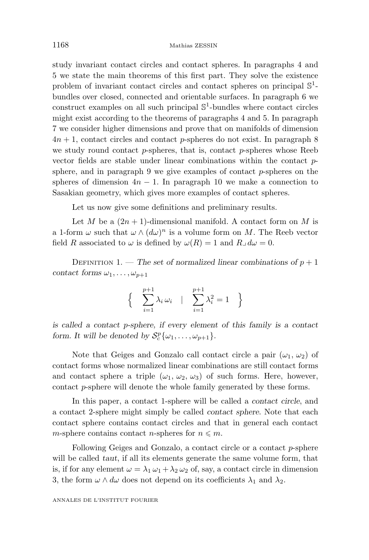study invariant contact circles and contact spheres. In paragraphs 4 and 5 we state the main theorems of this first part. They solve the existence problem of invariant contact circles and contact spheres on principal  $\mathbb{S}^1$ bundles over closed, connected and orientable surfaces. In paragraph 6 we construct examples on all such principal  $\mathbb{S}^1$ -bundles where contact circles might exist according to the theorems of paragraphs 4 and 5. In paragraph 7 we consider higher dimensions and prove that on manifolds of dimension  $4n + 1$ , contact circles and contact *p*-spheres do not exist. In paragraph 8 we study round contact *p*-spheres, that is, contact *p*-spheres whose Reeb vector fields are stable under linear combinations within the contact *p*sphere, and in paragraph 9 we give examples of contact *p*-spheres on the spheres of dimension  $4n - 1$ . In paragraph 10 we make a connection to Sasakian geometry, which gives more examples of contact spheres.

Let us now give some definitions and preliminary results.

Let *M* be a  $(2n + 1)$ -dimensional manifold. A contact form on *M* is a 1-form  $\omega$  such that  $\omega \wedge (d\omega)^n$  is a volume form on M. The Reeb vector field *R* associated to  $\omega$  is defined by  $\omega(R) = 1$  and  $R \triangleleft d\omega = 0$ .

DEFINITION 1. — *The set of normalized linear combinations of*  $p + 1$ *contact forms*  $\omega_1, \ldots, \omega_{p+1}$ 

$$
\begin{cases} \sum_{i=1}^{p+1} \lambda_i \omega_i & | \sum_{i=1}^{p+1} \lambda_i^2 = 1 \end{cases}
$$

*is called a contact p-sphere, if every element of this family is a contact form. It will be denoted by*  $S_c^p\{\omega_1, \ldots, \omega_{p+1}\}.$ 

Note that Geiges and Gonzalo call contact circle a pair  $(\omega_1, \omega_2)$  of contact forms whose normalized linear combinations are still contact forms and contact sphere a triple  $(\omega_1, \omega_2, \omega_3)$  of such forms. Here, however, contact *p*-sphere will denote the whole family generated by these forms.

In this paper, a contact 1-sphere will be called a *contact circle*, and a contact 2-sphere might simply be called *contact sphere*. Note that each contact sphere contains contact circles and that in general each contact *m*-sphere contains contact *n*-spheres for  $n \leq m$ .

Following Geiges and Gonzalo, a contact circle or a contact *p*-sphere will be called *taut*, if all its elements generate the same volume form, that is, if for any element  $\omega = \lambda_1 \omega_1 + \lambda_2 \omega_2$  of, say, a contact circle in dimension 3, the form  $\omega \wedge d\omega$  does not depend on its coefficients  $\lambda_1$  and  $\lambda_2$ .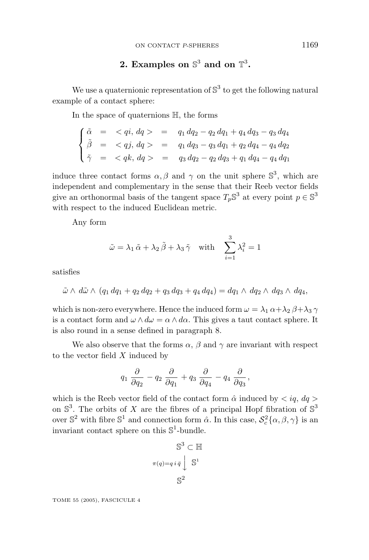### **2.** Examples on  $\mathbb{S}^3$  and on  $\mathbb{T}^3$ .

We use a quaternionic representation of  $\mathbb{S}^3$  to get the following natural example of a contact sphere:

In the space of quaternions H, the forms

$$
\begin{cases}\n\tilde{\alpha} = < qi, \, dq > = q_1 \, dq_2 - q_2 \, dq_1 + q_4 \, dq_3 - q_3 \, dq_4 \\
\tilde{\beta} = < qj, \, dq > = q_1 \, dq_3 - q_3 \, dq_1 + q_2 \, dq_4 - q_4 \, dq_2 \\
\tilde{\gamma} = < qk, \, dq > = q_3 \, dq_2 - q_2 \, dq_3 + q_1 \, dq_4 - q_4 \, dq_1\n\end{cases}
$$

induce three contact forms  $\alpha$ ,  $\beta$  and  $\gamma$  on the unit sphere  $\mathbb{S}^3$ , which are independent and complementary in the sense that their Reeb vector fields give an orthonormal basis of the tangent space  $T_p \mathbb{S}^3$  at every point  $p \in \mathbb{S}^3$ with respect to the induced Euclidean metric.

Any form

$$
\tilde{\omega} = \lambda_1 \tilde{\alpha} + \lambda_2 \tilde{\beta} + \lambda_3 \tilde{\gamma} \quad \text{with} \quad \sum_{i=1}^3 \lambda_i^2 = 1
$$

satisfies

$$
\tilde{\omega} \wedge d\tilde{\omega} \wedge (q_1 dq_1 + q_2 dq_2 + q_3 dq_3 + q_4 dq_4) = dq_1 \wedge dq_2 \wedge dq_3 \wedge dq_4,
$$

which is non-zero everywhere. Hence the induced form  $\omega = \lambda_1 \alpha + \lambda_2 \beta + \lambda_3 \gamma$ is a contact form and  $\omega \wedge d\omega = \alpha \wedge d\alpha$ . This gives a taut contact sphere. It is also round in a sense defined in paragraph 8.

We also observe that the forms  $\alpha$ ,  $\beta$  and  $\gamma$  are invariant with respect to the vector field *X* induced by

$$
q_1 \frac{\partial}{\partial q_2} - q_2 \frac{\partial}{\partial q_1} + q_3 \frac{\partial}{\partial q_4} - q_4 \frac{\partial}{\partial q_3},
$$

which is the Reeb vector field of the contact form  $\hat{\alpha}$  induced by  $\langle iq, dq \rangle$ on  $\mathbb{S}^3$ . The orbits of *X* are the fibres of a principal Hopf fibration of  $\mathbb{S}^3$ over  $\mathbb{S}^2$  with fibre  $\mathbb{S}^1$  and connection form  $\hat{\alpha}$ . In this case,  $\mathcal{S}_c^2\{\alpha, \beta, \gamma\}$  is an invariant contact sphere on this  $\mathbb{S}^1$ -bundle.

$$
\mathbb{S}^3 \subset \mathbb{H}
$$

$$
\pi(q) = q i \bar{q} \int \mathbb{S}^1
$$

$$
\mathbb{S}^2
$$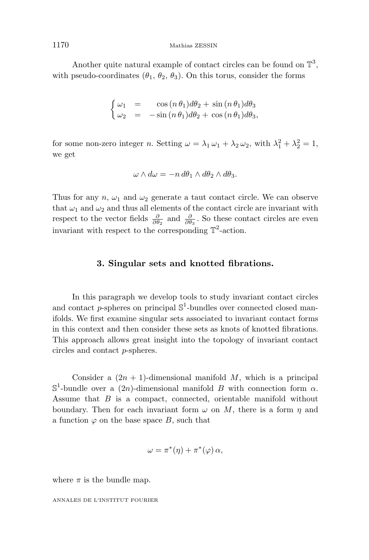Another quite natural example of contact circles can be found on  $\mathbb{T}^3$ , with pseudo-coordinates  $(\theta_1, \theta_2, \theta_3)$ . On this torus, consider the forms

$$
\begin{cases}\n\omega_1 = \cos(n\theta_1)d\theta_2 + \sin(n\theta_1)d\theta_3 \\
\omega_2 = -\sin(n\theta_1)d\theta_2 + \cos(n\theta_1)d\theta_3,\n\end{cases}
$$

for some non-zero integer *n*. Setting  $\omega = \lambda_1 \omega_1 + \lambda_2 \omega_2$ , with  $\lambda_1^2 + \lambda_2^2 = 1$ , we get

$$
\omega \wedge d\omega = -n d\theta_1 \wedge d\theta_2 \wedge d\theta_3.
$$

Thus for any  $n, \omega_1$  and  $\omega_2$  generate a taut contact circle. We can observe that  $\omega_1$  and  $\omega_2$  and thus all elements of the contact circle are invariant with respect to the vector fields  $\frac{\partial}{\partial \theta_2}$  and  $\frac{\partial}{\partial \theta_3}$ . So these contact circles are even invariant with respect to the corresponding  $\mathbb{T}^2$ -action.

#### **3. Singular sets and knotted fibrations.**

In this paragraph we develop tools to study invariant contact circles and contact *p*-spheres on principal  $\mathbb{S}^1$ -bundles over connected closed manifolds. We first examine singular sets associated to invariant contact forms in this context and then consider these sets as knots of knotted fibrations. This approach allows great insight into the topology of invariant contact circles and contact *p*-spheres.

Consider a  $(2n + 1)$ -dimensional manifold *M*, which is a principal  $\mathbb{S}^1$ -bundle over a  $(2n)$ -dimensional manifold *B* with connection form *α*. Assume that *B* is a compact, connected, orientable manifold without boundary. Then for each invariant form  $\omega$  on M, there is a form  $\eta$  and a function  $\varphi$  on the base space *B*, such that

$$
\omega = \pi^*(\eta) + \pi^*(\varphi) \alpha,
$$

where  $\pi$  is the bundle map.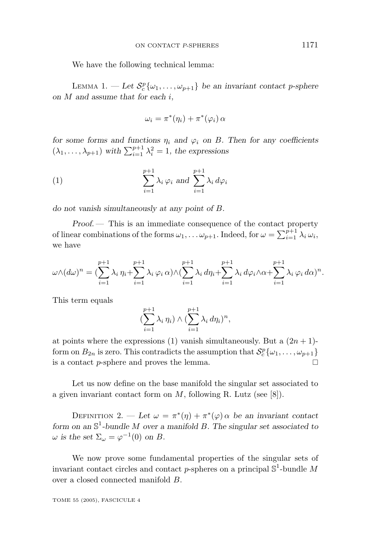We have the following technical lemma:

LEMMA 1.  $-\text{Let } \mathcal{S}_c^p\{\omega_1,\ldots,\omega_{p+1}\}\$ be an invariant contact p-sphere *on M and assume that for each i,*

$$
\omega_i = \pi^*(\eta_i) + \pi^*(\varphi_i) \alpha
$$

*for some forms and functions*  $\eta_i$  *and*  $\varphi_i$  *on B. Then for any coefficients*  $(\lambda_1, \ldots, \lambda_{p+1})$  with  $\sum_{i=1}^{p+1} \lambda_i^2 = 1$ , the expressions

(1) 
$$
\sum_{i=1}^{p+1} \lambda_i \varphi_i \text{ and } \sum_{i=1}^{p+1} \lambda_i d\varphi_i
$$

*do not vanish simultaneously at any point of B.*

*Proof*. — This is an immediate consequence of the contact property of linear combinations of the forms  $\omega_1, \ldots, \omega_{p+1}$ . Indeed, for  $\omega = \sum_{i=1}^{p+1} \lambda_i \omega_i$ , we have

$$
\omega \wedge (d\omega)^n = \left(\sum_{i=1}^{p+1} \lambda_i \eta_i + \sum_{i=1}^{p+1} \lambda_i \varphi_i \alpha\right) \wedge \left(\sum_{i=1}^{p+1} \lambda_i \, d\eta_i + \sum_{i=1}^{p+1} \lambda_i \, d\varphi_i \wedge \alpha + \sum_{i=1}^{p+1} \lambda_i \, \varphi_i \, d\alpha\right)^n.
$$

This term equals

$$
\left(\sum_{i=1}^{p+1} \lambda_i \eta_i\right) \wedge \left(\sum_{i=1}^{p+1} \lambda_i \, d\eta_i\right)^n,
$$

at points where the expressions (1) vanish simultaneously. But a  $(2n + 1)$ form on  $B_{2n}$  is zero. This contradicts the assumption that  $S_c^p\{\omega_1,\ldots,\omega_{p+1}\}\$ is a contact  $p$ -sphere and proves the lemma.  $\Box$ 

Let us now define on the base manifold the singular set associated to a given invariant contact form on *M*, following R. Lutz (see [8]).

DEFINITION 2. — Let  $\omega = \pi^*(\eta) + \pi^*(\varphi)$  *a* be an invariant contact *form on an* S<sup>1</sup>*-bundle M over a manifold B. The singular set associated to ω* is the set  $\Sigma$ <sub>*ω*</sub> =  $\varphi$ <sup>-1</sup>(0) on *B*.

We now prove some fundamental properties of the singular sets of invariant contact circles and contact  $p$ -spheres on a principal  $\mathbb{S}^1$ -bundle  $M$ over a closed connected manifold *B*.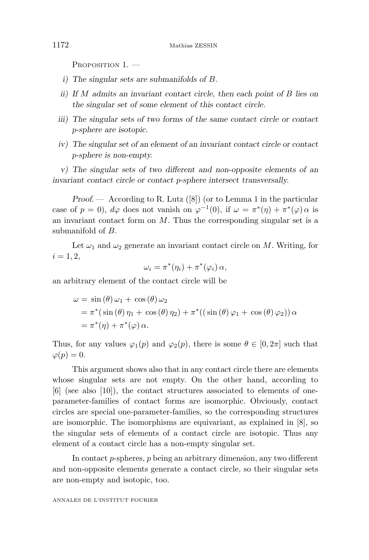PROPOSITION 1. *—*

- *i) The singular sets are submanifolds of B.*
- *ii) If M admits an invariant contact circle, then each point of B lies on the singular set of some element of this contact circle.*
- *iii) The singular sets of two forms of the same contact circle or contact p-sphere are isotopic.*
- *iv) The singular set of an element of an invariant contact circle or contact p-sphere is non-empty.*

*v) The singular sets of two different and non-opposite elements of an invariant contact circle or contact p-sphere intersect transversally.*

*Proof*. — According to R. Lutz ([8]) (or to Lemma 1 in the particular case of  $p = 0$ ,  $d\varphi$  does not vanish on  $\varphi^{-1}(0)$ , if  $\omega = \pi^*(\eta) + \pi^*(\varphi)$  *a* is an invariant contact form on *M*. Thus the corresponding singular set is a submanifold of *B*.

Let  $\omega_1$  and  $\omega_2$  generate an invariant contact circle on *M*. Writing, for  $i = 1, 2,$ 

$$
\omega_i = \pi^*(\eta_i) + \pi^*(\varphi_i) \alpha,
$$

an arbitrary element of the contact circle will be

$$
\omega = \sin(\theta)\,\omega_1 + \cos(\theta)\,\omega_2
$$
  
=  $\pi^*(\sin(\theta)\,\eta_1 + \cos(\theta)\,\eta_2) + \pi^*((\sin(\theta)\,\varphi_1 + \cos(\theta)\,\varphi_2))\,\alpha$   
=  $\pi^*(\eta) + \pi^*(\varphi)\,\alpha$ .

Thus, for any values  $\varphi_1(p)$  and  $\varphi_2(p)$ , there is some  $\theta \in [0, 2\pi]$  such that  $\varphi(p) = 0.$ 

This argument shows also that in any contact circle there are elements whose singular sets are not empty. On the other hand, according to [6] (see also [10]), the contact structures associated to elements of oneparameter-families of contact forms are isomorphic. Obviously, contact circles are special one-parameter-families, so the corresponding structures are isomorphic. The isomorphisms are equivariant, as explained in [8], so the singular sets of elements of a contact circle are isotopic. Thus any element of a contact circle has a non-empty singular set.

In contact *p*-spheres, *p* being an arbitrary dimension, any two different and non-opposite elements generate a contact circle, so their singular sets are non-empty and isotopic, too.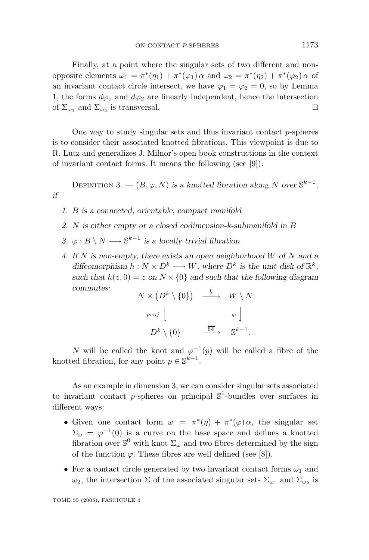Finally, at a point where the singular sets of two different and nonopposite elements  $ω_1 = π^*(η_1) + π^*(φ_1) α$  and  $ω_2 = π^*(η_2) + π^*(φ_2) α$  of an invariant contact circle intersect, we have  $\varphi_1 = \varphi_2 = 0$ , so by Lemma 1, the forms  $d\varphi_1$  and  $d\varphi_2$  are linearly independent, hence the intersection of  $\Sigma_{\omega_1}$  and  $\Sigma_{\omega_2}$  is transversal.

One way to study singular sets and thus invariant contact *p*-spheres is to consider their associated knotted fibrations. This viewpoint is due to R. Lutz and generalizes J. Milnor's open book constructions in the context of invariant contact forms. It means the following (see [9]):

DEFINITION 3. —  $(B, \varphi, N)$  *is a knotted fibration along N over*  $\mathbb{S}^{k-1}$ *, if*

- *1. B is a connected, orientable, compact manifold*
- *2. N is either empty or a closed codimension-k-submanifold in B*
- *3. ϕ* : *B* \ *N* −→ S*<sup>k</sup>*−<sup>1</sup> *is a locally trivial fibration*
- *4. If N is non-empty, there exists an open neighborhood W of N and a diffeomorphism*  $h: N \times D^k \longrightarrow W$ *, where*  $D^k$  *is the unit disk of*  $\mathbb{R}^k$ *,* such that  $h(z, 0) = z$  on  $N \times \{0\}$  and such that the following diagram *commutes:*

$$
\begin{array}{ccc}N\times\left(D^{k}\setminus\{0\}\right)&\stackrel{h}{\longrightarrow}&W\setminus N\\&\\^{proj.}\Big\downarrow&&\varphi\Big\downarrow\\&D^{k}\setminus\{0\}&\stackrel{\overline{\mathbb{H}\mathbb{I}}}{\longrightarrow}&\mathbb{S}^{k-1}.\end{array}
$$

*N* will be called the knot and  $\varphi^{-1}(p)$  will be called a fibre of the knotted fibration, for any point  $p \in \mathbb{S}^{k-1}$ .

As an example in dimension 3, we can consider singular sets associated to invariant contact *p*-spheres on principal  $\mathbb{S}^1$ -bundles over surfaces in different ways:

- Given one contact form  $\omega = \pi^*(\eta) + \pi^*(\varphi) \alpha$ , the singular set  $\Sigma_{\omega} = \varphi^{-1}(0)$  is a curve on the base space and defines a knotted fibration over  $\mathbb{S}^0$  with knot  $\Sigma_{\omega}$  and two fibres determined by the sign of the function  $\varphi$ . These fibres are well defined (see [8]).
- For a contact circle generated by two invariant contact forms  $\omega_1$  and *ω*<sub>2</sub>, the intersection Σ of the associated singular sets  $\Sigma_{\omega_1}$  and  $\Sigma_{\omega_2}$  is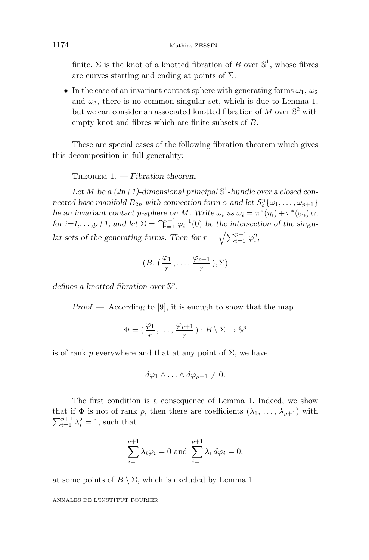finite.  $\Sigma$  is the knot of a knotted fibration of *B* over  $\mathbb{S}^1$ , whose fibres are curves starting and ending at points of  $\Sigma$ .

• In the case of an invariant contact sphere with generating forms  $\omega_1$ ,  $\omega_2$ and  $\omega_3$ , there is no common singular set, which is due to Lemma 1, but we can consider an associated knotted fibration of  $M$  over  $\mathbb{S}^2$  with empty knot and fibres which are finite subsets of *B*.

These are special cases of the following fibration theorem which gives this decomposition in full generality:

THEOREM 1. *— Fibration theorem*

Let *M* be a  $(2n+1)$ -dimensional principal  $\mathbb{S}^1$ -bundle over a closed con*nected base manifold*  $B_{2n}$  *with connection form*  $\alpha$  *and let*  $S_c^p\{\omega_1, \dots, \omega_{p+1}\}\$ *be an invariant contact <i>p*-sphere on *M.* Write  $\omega_i$  as  $\omega_i = \pi^*(\eta_i) + \pi^*(\varphi_i) \alpha$ , *for i=1,...,p+1, and let*  $\Sigma = \bigcap_{i=1}^{p+1} \varphi_i^{-1}(0)$  *be the intersection of the singu*lar sets of the generating forms. Then for  $r = \sqrt{\sum_{i=1}^{p+1} \varphi_i^2}$ ,

$$
(B, (\frac{\varphi_1}{r}, \ldots, \frac{\varphi_{p+1}}{r}), \Sigma)
$$

*defines a knotted fibration over* S*<sup>p</sup>.*

*Proof.* — According to [9], it is enough to show that the map

$$
\Phi = (\frac{\varphi_1}{r}, \dots, \frac{\varphi_{p+1}}{r}) : B \setminus \Sigma \to \mathbb{S}^p
$$

is of rank *p* everywhere and that at any point of  $\Sigma$ , we have

$$
d\varphi_1 \wedge \ldots \wedge d\varphi_{p+1} \neq 0.
$$

The first condition is a consequence of Lemma 1. Indeed, we show that if  $\Phi$  is not of rank *p*, then there are coefficients  $(\lambda_1, \ldots, \lambda_{p+1})$  with  $\sum_{i=1}^{p+1} \lambda_i^2 = 1$ , such that

$$
\sum_{i=1}^{p+1} \lambda_i \varphi_i = 0 \text{ and } \sum_{i=1}^{p+1} \lambda_i d\varphi_i = 0,
$$

at some points of  $B \setminus \Sigma$ , which is excluded by Lemma 1.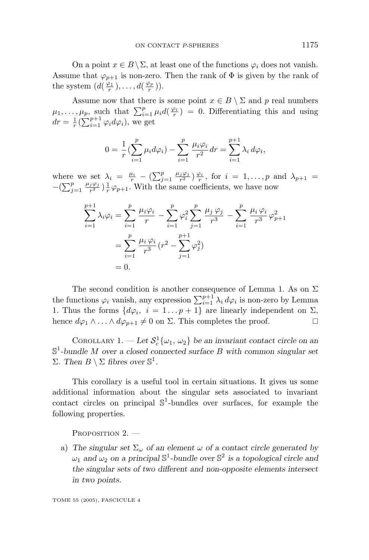On a point  $x \in B \setminus \Sigma$ , at least one of the functions  $\varphi_i$  does not vanish. Assume that  $\varphi_{p+1}$  is non-zero. Then the rank of  $\Phi$  is given by the rank of the system  $(d(\frac{\varphi_1}{r}), \ldots, d(\frac{\varphi_p}{r}))$ .

Assume now that there is some point  $x \in B \setminus \Sigma$  and *p* real numbers  $\mu_1, \ldots, \mu_p$ , such that  $\sum_{i=1}^p \mu_i d(\frac{\varphi_i}{r}) = 0$ . Differentiating this and using  $dr = \frac{1}{r} \left( \sum_{i=1}^{p+1} \varphi_i d\varphi_i \right)$ , we get

$$
0 = \frac{1}{r} \left( \sum_{i=1}^{p} \mu_i d\varphi_i \right) - \sum_{i=1}^{p} \frac{\mu_i \varphi_i}{r^2} dr = \sum_{i=1}^{p+1} \lambda_i d\varphi_i,
$$

where we set  $\lambda_i = \frac{\mu_i}{r} - \left(\sum_{j=1}^p \frac{\mu_j \varphi_j}{r^2}\right) \frac{\varphi_i}{r}$ , for  $i = 1, \ldots, p$  and  $\lambda_{p+1} =$  $-(\sum_{j=1}^{p} \frac{\mu_j \varphi_j}{r^2}) \frac{1}{r} \varphi_{p+1}$ . With the same coefficients, we have now

$$
\sum_{i=1}^{p+1} \lambda_i \varphi_i = \sum_{i=1}^p \frac{\mu_i \varphi_i}{r} - \sum_{i=1}^p \varphi_i^2 \sum_{j=1}^p \frac{\mu_j \varphi_j}{r^3} - \sum_{i=1}^p \frac{\mu_i \varphi_i}{r^3} \varphi_{p+1}^2
$$

$$
= \sum_{i=1}^p \frac{\mu_i \varphi_i}{r^3} (r^2 - \sum_{j=1}^{p+1} \varphi_j^2)
$$

$$
= 0.
$$

The second condition is another consequence of Lemma 1. As on  $\Sigma$ the functions  $\varphi_i$  vanish, any expression  $\sum_{i=1}^{p+1} \lambda_i d\varphi_i$  is non-zero by Lemma 1. Thus the forms  $\{d\varphi_i, i = 1...p+1\}$  are linearly independent on  $\Sigma$ , hence  $d\varphi_1 \wedge \ldots \wedge d\varphi_{p+1} \neq 0$  on  $\Sigma$ . This completes the proof.

COROLLARY 1. — Let  $S_c^1\{\omega_1, \omega_2\}$  be an invariant contact circle on an S<sup>1</sup>*-bundle M over a closed connected surface B with common singular set Σ.* Then  $B \setminus \Sigma$  fibres over  $\mathbb{S}^1$ .

This corollary is a useful tool in certain situations. It gives us some additional information about the singular sets associated to invariant contact circles on principal  $\mathbb{S}^1$ -bundles over surfaces, for example the following properties.

PROPOSITION 2. *—*

a) The singular set  $\Sigma_{\omega}$  of an element  $\omega$  of a contact circle generated by *ω*<sub>1</sub> and *ω*<sub>2</sub> on a principal  $\mathbb{S}^1$ -bundle over  $\mathbb{S}^2$  is a topological circle and *the singular sets of two different and non-opposite elements intersect in two points.*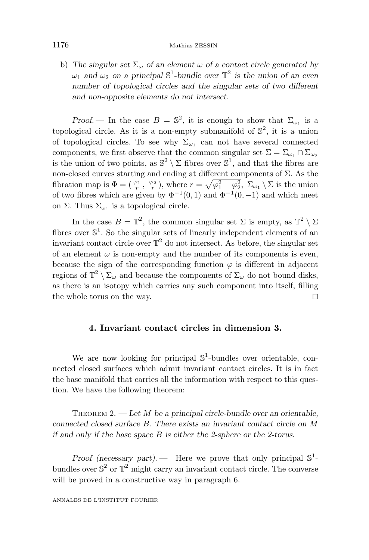#### 1176 Mathias ZESSIN

b) The singular set  $\Sigma_{\omega}$  of an element  $\omega$  of a contact circle generated by *ω*<sub>1</sub> and *ω*<sub>2</sub> on a principal  $\mathbb{S}^1$ -bundle over  $\mathbb{T}^2$  is the union of an even *number of topological circles and the singular sets of two different and non-opposite elements do not intersect.*

*Proof.* — In the case  $B = \mathbb{S}^2$ , it is enough to show that  $\Sigma_{\omega_1}$  is a topological circle. As it is a non-empty submanifold of  $\mathbb{S}^2$ , it is a union of topological circles. To see why  $\Sigma_{\omega_1}$  can not have several connected components, we first observe that the common singular set  $\Sigma = \Sigma_{\omega_1} \cap \Sigma_{\omega_2}$ is the union of two points, as  $\mathbb{S}^2 \setminus \Sigma$  fibres over  $\mathbb{S}^1$ , and that the fibres are non-closed curves starting and ending at different components of Σ. As the fibration map is  $\Phi = (\frac{\varphi_1}{r}, \frac{\varphi_2}{r}),$  where  $r = \sqrt{\varphi_1^2 + \varphi_2^2}, \Sigma_{\omega_1} \setminus \Sigma$  is the union of two fibres which are given by  $\Phi^{-1}(0,1)$  and  $\Phi^{-1}(0,-1)$  and which meet on Σ. Thus  $\Sigma_{\omega_1}$  is a topological circle.

In the case  $B = \mathbb{T}^2$ , the common singular set  $\Sigma$  is empty, as  $\mathbb{T}^2 \setminus \Sigma$ fibres over  $\mathbb{S}^1$ . So the singular sets of linearly independent elements of an invariant contact circle over  $\mathbb{T}^2$  do not intersect. As before, the singular set of an element  $\omega$  is non-empty and the number of its components is even, because the sign of the corresponding function  $\varphi$  is different in adjacent regions of  $\mathbb{T}^2 \setminus \Sigma_\omega$  and because the components of  $\Sigma_\omega$  do not bound disks, as there is an isotopy which carries any such component into itself, filling the whole torus on the way.

#### **4. Invariant contact circles in dimension 3.**

We are now looking for principal  $\mathbb{S}^1$ -bundles over orientable, connected closed surfaces which admit invariant contact circles. It is in fact the base manifold that carries all the information with respect to this question. We have the following theorem:

THEOREM 2. *— Let M be a principal circle-bundle over an orientable, connected closed surface B. There exists an invariant contact circle on M if and only if the base space B is either the 2-sphere or the 2-torus.*

*Proof (necessary part).* — Here we prove that only principal  $\mathbb{S}^1$ bundles over  $\mathbb{S}^2$  or  $\mathbb{T}^2$  might carry an invariant contact circle. The converse will be proved in a constructive way in paragraph 6.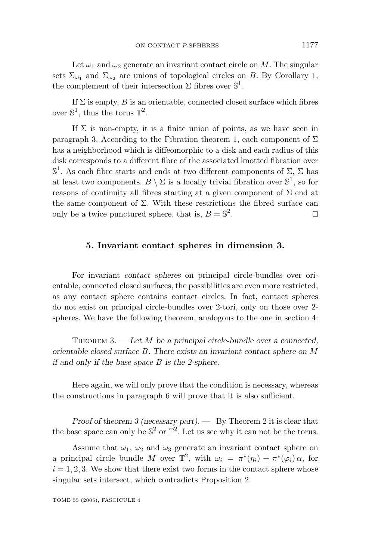Let  $\omega_1$  and  $\omega_2$  generate an invariant contact circle on M. The singular sets  $\Sigma_{\omega_1}$  and  $\Sigma_{\omega_2}$  are unions of topological circles on *B*. By Corollary 1, the complement of their intersection  $\Sigma$  fibres over  $\mathbb{S}^1$ .

If  $\Sigma$  is empty,  $B$  is an orientable, connected closed surface which fibres over  $\mathbb{S}^1$ , thus the torus  $\mathbb{T}^2$ .

If  $\Sigma$  is non-empty, it is a finite union of points, as we have seen in paragraph 3. According to the Fibration theorem 1, each component of  $\Sigma$ has a neighborhood which is diffeomorphic to a disk and each radius of this disk corresponds to a different fibre of the associated knotted fibration over  $\mathbb{S}^1$ . As each fibre starts and ends at two different components of  $\Sigma$ ,  $\Sigma$  has at least two components.  $B \setminus \Sigma$  is a locally trivial fibration over  $\mathbb{S}^1$ , so for reasons of continuity all fibres starting at a given component of  $\Sigma$  end at the same component of  $\Sigma$ . With these restrictions the fibred surface can only be a twice punctured sphere, that is,  $B = \mathbb{S}^2$ .

#### **5. Invariant contact spheres in dimension 3.**

For invariant *contact spheres* on principal circle-bundles over orientable, connected closed surfaces, the possibilities are even more restricted, as any contact sphere contains contact circles. In fact, contact spheres do not exist on principal circle-bundles over 2-tori, only on those over 2 spheres. We have the following theorem, analogous to the one in section 4:

THEOREM 3. *— Let M be a principal circle-bundle over a connected, orientable closed surface B. There exists an invariant contact sphere on M if and only if the base space B is the 2-sphere.*

Here again, we will only prove that the condition is necessary, whereas the constructions in paragraph 6 will prove that it is also sufficient.

*Proof of theorem 3 (necessary part). —* By Theorem 2 it is clear that the base space can only be  $\mathbb{S}^2$  or  $\mathbb{T}^2$ . Let us see why it can not be the torus.

Assume that  $\omega_1$ ,  $\omega_2$  and  $\omega_3$  generate an invariant contact sphere on a principal circle bundle *M* over  $\mathbb{T}^2$ , with  $\omega_i = \pi^*(\eta_i) + \pi^*(\varphi_i) \alpha$ , for  $i = 1, 2, 3$ . We show that there exist two forms in the contact sphere whose singular sets intersect, which contradicts Proposition 2.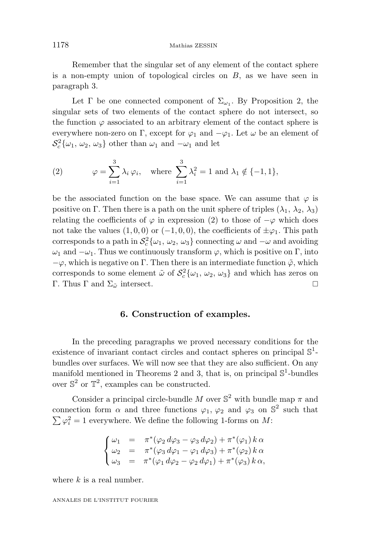Remember that the singular set of any element of the contact sphere is a non-empty union of topological circles on *B*, as we have seen in paragraph 3.

Let  $\Gamma$  be one connected component of  $\Sigma_{\omega_1}$ . By Proposition 2, the singular sets of two elements of the contact sphere do not intersect, so the function  $\varphi$  associated to an arbitrary element of the contact sphere is everywhere non-zero on Γ, except for  $\varphi_1$  and  $-\varphi_1$ . Let  $\omega$  be an element of  $S_c^2\{\omega_1, \omega_2, \omega_3\}$  other than  $\omega_1$  and  $-\omega_1$  and let

(2) 
$$
\varphi = \sum_{i=1}^{3} \lambda_i \varphi_i, \text{ where } \sum_{i=1}^{3} \lambda_i^2 = 1 \text{ and } \lambda_1 \notin \{-1, 1\},\
$$

be the associated function on the base space. We can assume that  $\varphi$  is positive on Γ. Then there is a path on the unit sphere of triples  $(\lambda_1, \lambda_2, \lambda_3)$ relating the coefficients of  $\varphi$  in expression (2) to those of  $-\varphi$  which does not take the values  $(1, 0, 0)$  or  $(-1, 0, 0)$ , the coefficients of  $\pm \varphi_1$ . This path corresponds to a path in  $S_c^2\{\omega_1, \omega_2, \omega_3\}$  connecting  $\omega$  and  $-\omega$  and avoiding  $ω_1$  and  $-ω_1$ . Thus we continuously transform  $φ$ , which is positive on Γ, into  $-\varphi$ , which is negative on Γ. Then there is an intermediate function  $\tilde{\varphi}$ , which corresponds to some element  $\tilde{\omega}$  of  $S_c^2\{\omega_1, \omega_2, \omega_3\}$  and which has zeros on Γ. Thus Γ and  $\Sigma_{\tilde{\omega}}$  intersect.

#### **6. Construction of examples.**

In the preceding paragraphs we proved necessary conditions for the existence of invariant contact circles and contact spheres on principal  $\mathbb{S}^1$ bundles over surfaces. We will now see that they are also sufficient. On any manifold mentioned in Theorems 2 and 3, that is, on principal  $\mathbb{S}^1$ -bundles over  $\mathbb{S}^2$  or  $\mathbb{T}^2$ , examples can be constructed.

Consider a principal circle-bundle *M* over  $\mathbb{S}^2$  with bundle map  $\pi$  and connection form  $\alpha$  and three functions  $\varphi_1$ ,  $\varphi_2$  and  $\varphi_3$  on  $\mathbb{S}^2$  such that  $\sum \varphi_i^2 = 1$  everywhere. We define the following 1-forms on *M*:

$$
\begin{cases}\n\omega_1 = \pi^*(\varphi_2 d\varphi_3 - \varphi_3 d\varphi_2) + \pi^*(\varphi_1) k \alpha \\
\omega_2 = \pi^*(\varphi_3 d\varphi_1 - \varphi_1 d\varphi_3) + \pi^*(\varphi_2) k \alpha \\
\omega_3 = \pi^*(\varphi_1 d\varphi_2 - \varphi_2 d\varphi_1) + \pi^*(\varphi_3) k \alpha,\n\end{cases}
$$

where *k* is a real number.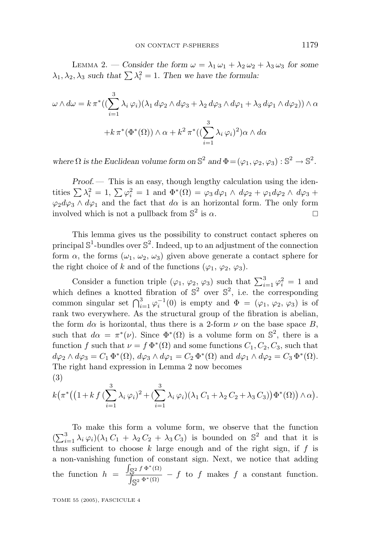LEMMA 2. — Consider the form  $\omega = \lambda_1 \omega_1 + \lambda_2 \omega_2 + \lambda_3 \omega_3$  for some  $\lambda_1, \lambda_2, \lambda_3$  *such that*  $\sum \lambda_i^2 = 1$ . Then we have the formula:

$$
\omega \wedge d\omega = k \pi^* ((\sum_{i=1}^3 \lambda_i \varphi_i) (\lambda_1 d\varphi_2 \wedge d\varphi_3 + \lambda_2 d\varphi_3 \wedge d\varphi_1 + \lambda_3 d\varphi_1 \wedge d\varphi_2)) \wedge \alpha + k \pi^* (\Phi^*(\Omega)) \wedge \alpha + k^2 \pi^* ((\sum_{i=1}^3 \lambda_i \varphi_i)^2) \alpha \wedge d\alpha
$$

*where*  $\Omega$  *is the Euclidean volume form on*  $\mathbb{S}^2$  *and*  $\Phi = (\varphi_1, \varphi_2, \varphi_3) : \mathbb{S}^2 \to \mathbb{S}^2$ .

*Proof.* — This is an easy, though lengthy calculation using the identities  $\sum \lambda_i^2 = 1$ ,  $\sum \varphi_i^2 = 1$  and  $\Phi^*(\Omega) = \varphi_3 d\varphi_1 \wedge d\varphi_2 + \varphi_1 d\varphi_2 \wedge d\varphi_3 +$  $\varphi_2 d\varphi_3 \wedge d\varphi_1$  and the fact that  $d\alpha$  is an horizontal form. The only form involved which is not a pullback from  $\mathbb{S}^2$  is  $\alpha$ .

This lemma gives us the possibility to construct contact spheres on principal  $\mathbb{S}^1$ -bundles over  $\mathbb{S}^2$ . Indeed, up to an adjustment of the connection form  $\alpha$ , the forms  $(\omega_1, \omega_2, \omega_3)$  given above generate a contact sphere for the right choice of *k* and of the functions ( $\varphi_1$ ,  $\varphi_2$ ,  $\varphi_3$ ).

Consider a function triple  $(\varphi_1, \varphi_2, \varphi_3)$  such that  $\sum_{i=1}^3 \varphi_i^2 = 1$  and which defines a knotted fibration of  $\mathbb{S}^2$  over  $\mathbb{S}^2$ , i.e. the corresponding common singular set  $\bigcap_{i=1}^{3} \varphi_i^{-1}(0)$  is empty and  $\Phi = (\varphi_1, \varphi_2, \varphi_3)$  is of rank two everywhere. As the structural group of the fibration is abelian, the form  $d\alpha$  is horizontal, thus there is a 2-form  $\nu$  on the base space *B*, such that  $d\alpha = \pi^*(\nu)$ . Since  $\Phi^*(\Omega)$  is a volume form on  $\mathbb{S}^2$ , there is a function *f* such that  $\nu = f \Phi^*(\Omega)$  and some functions  $C_1, C_2, C_3$ , such that  $d\varphi_2 \wedge d\varphi_3 = C_1 \Phi^*(\Omega), d\varphi_3 \wedge d\varphi_1 = C_2 \Phi^*(\Omega)$  and  $d\varphi_1 \wedge d\varphi_2 = C_3 \Phi^*(\Omega)$ . The right hand expression in Lemma 2 now becomes (3)

$$
k(\pi^*\big(\big(1+k f\big(\sum_{i=1}^3 \lambda_i \varphi_i\big)^2 + \big(\sum_{i=1}^3 \lambda_i \varphi_i\big)\big(\lambda_1 C_1 + \lambda_2 C_2 + \lambda_3 C_3\big)\big)\Phi^*(\Omega)\big) \wedge \alpha\big).
$$

To make this form a volume form, we observe that the function  $(\sum_{i=1}^{3} \lambda_i \varphi_i)(\lambda_1 C_1 + \lambda_2 C_2 + \lambda_3 C_3)$  is bounded on  $\mathbb{S}^2$  and that it is thus sufficient to choose  $k$  large enough and of the right sign, if  $f$  is a non-vanishing function of constant sign. Next, we notice that adding the function  $h = \frac{\int_{\mathbb{S}^2} f \Phi^*(\Omega)}{\int_{\mathbb{S}^*} \Phi^*(\Omega)}$  $\int_{\mathbb{S}^2} \frac{\partial^3 f}{\partial s^2}$  *o f* to *f* makes *f* a constant function.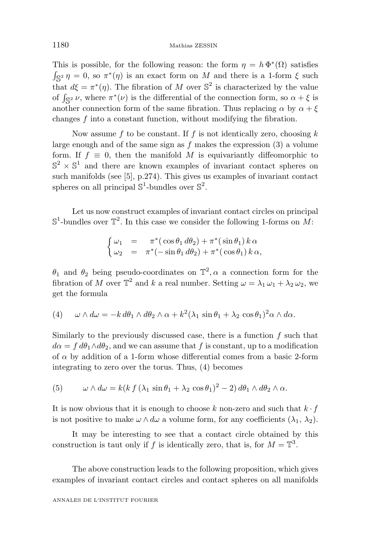This is possible, for the following reason: the form  $\eta = h \Phi^*(\Omega)$  satisfies  $\int \mathbb{S}^2 \eta = 0$ , so  $\pi^*(\eta)$  is an exact form on *M* and there is a 1-form  $\xi$  such that  $d\xi = \pi^*(\eta)$ . The fibration of *M* over  $\mathbb{S}^2$  is characterized by the value of  $\int_{\mathbb{S}^2} \nu$ , where  $\pi^*(\nu)$  is the differential of the connection form, so  $\alpha + \xi$  is another connection form of the same fibration. Thus replacing  $\alpha$  by  $\alpha + \xi$ changes *f* into a constant function, without modifying the fibration.

Now assume *f* to be constant. If *f* is not identically zero, choosing *k* large enough and of the same sign as *f* makes the expression (3) a volume form. If  $f \equiv 0$ , then the manifold M is equivariantly diffeomorphic to  $\mathbb{S}^2 \times \mathbb{S}^1$  and there are known examples of invariant contact spheres on such manifolds (see [5], p.274). This gives us examples of invariant contact spheres on all principal  $\mathbb{S}^1$ -bundles over  $\mathbb{S}^2$ .

Let us now construct examples of invariant contact circles on principal  $\mathbb{S}^1$ -bundles over  $\mathbb{T}^2$ . In this case we consider the following 1-forms on *M*:

$$
\begin{cases}\n\omega_1 = \pi^*(\cos\theta_1 d\theta_2) + \pi^*(\sin\theta_1) k\alpha \\
\omega_2 = \pi^*(-\sin\theta_1 d\theta_2) + \pi^*(\cos\theta_1) k\alpha,\n\end{cases}
$$

*θ*<sub>1</sub> and *θ*<sub>2</sub> being pseudo-coordinates on  $\mathbb{T}^2$ , *α* a connection form for the fibration of *M* over  $\mathbb{T}^2$  and *k* a real number. Setting  $\omega = \lambda_1 \omega_1 + \lambda_2 \omega_2$ , we get the formula

(4) 
$$
\omega \wedge d\omega = -k d\theta_1 \wedge d\theta_2 \wedge \alpha + k^2 (\lambda_1 \sin \theta_1 + \lambda_2 \cos \theta_1)^2 \alpha \wedge d\alpha.
$$

Similarly to the previously discussed case, there is a function *f* such that  $d\alpha = f d\theta_1 \wedge d\theta_2$ , and we can assume that f is constant, up to a modification of  $\alpha$  by addition of a 1-form whose differential comes from a basic 2-form integrating to zero over the torus. Thus, (4) becomes

(5) 
$$
\omega \wedge d\omega = k(k f (\lambda_1 \sin \theta_1 + \lambda_2 \cos \theta_1)^2 - 2) d\theta_1 \wedge d\theta_2 \wedge \alpha.
$$

It is now obvious that it is enough to choose *k* non-zero and such that *k* · *f* is not positive to make  $\omega \wedge d\omega$  a volume form, for any coefficients  $(\lambda_1, \lambda_2)$ .

It may be interesting to see that a contact circle obtained by this construction is taut only if *f* is identically zero, that is, for  $M = \mathbb{T}^3$ .

The above construction leads to the following proposition, which gives examples of invariant contact circles and contact spheres on all manifolds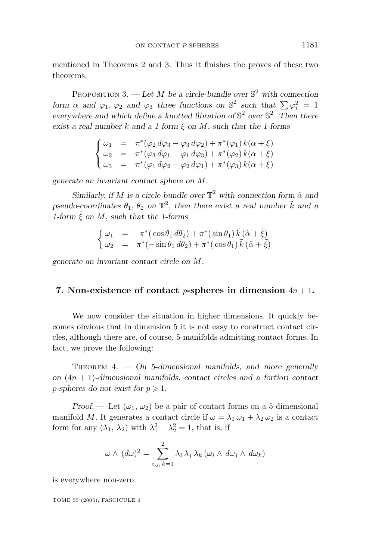mentioned in Theorems 2 and 3. Thus it finishes the proves of these two theorems.

PROPOSITION 3.  $-\text{Let } M$  be a circle-bundle over  $\mathbb{S}^2$  with connection *form*  $\alpha$  *and*  $\varphi_1$ ,  $\varphi_2$  *and*  $\varphi_3$  *three functions on*  $\mathbb{S}^2$  *such that*  $\sum \varphi_i^2 = 1$ *everywhere and which define a knotted fibration of*  $\mathbb{S}^2$  *over*  $\mathbb{S}^2$ *. Then there exist a real number k and a 1-form ξ on M, such that the 1-forms*

$$
\begin{cases}\n\omega_1 = \pi^*(\varphi_2 \, d\varphi_3 - \varphi_3 \, d\varphi_2) + \pi^*(\varphi_1) \, k(\alpha + \xi) \\
\omega_2 = \pi^*(\varphi_3 \, d\varphi_1 - \varphi_1 \, d\varphi_3) + \pi^*(\varphi_2) \, k(\alpha + \xi) \\
\omega_3 = \pi^*(\varphi_1 \, d\varphi_2 - \varphi_2 \, d\varphi_1) + \pi^*(\varphi_3) \, k(\alpha + \xi)\n\end{cases}
$$

*generate an invariant contact sphere on M.*

*Similarly, if M is a circle-bundle over*  $\mathbb{T}^2$  *with connection form*  $\tilde{\alpha}$  *and pseudo-coordinates*  $\theta_1$ ,  $\theta_2$  *on*  $\mathbb{T}^2$ , *then there exist a real number*  $\tilde{k}$  *and a 1-form*  $\tilde{\xi}$  *on*  $M$ *, such that the 1-forms* 

$$
\begin{cases}\n\omega_1 = \pi^*(\cos\theta_1 d\theta_2) + \pi^*(\sin\theta_1) \tilde{k} (\tilde{\alpha} + \tilde{\xi}) \\
\omega_2 = \pi^*(-\sin\theta_1 d\theta_2) + \pi^*(\cos\theta_1) \tilde{k} (\tilde{\alpha} + \tilde{\xi})\n\end{cases}
$$

*generate an invariant contact circle on M.*

#### **7.** Non-existence of contact *p*-spheres in dimension  $4n + 1$ .

We now consider the situation in higher dimensions. It quickly becomes obvious that in dimension 5 it is not easy to construct contact circles, although there are, of course, 5-manifolds admitting contact forms. In fact, we prove the following:

THEOREM 4. *— On 5-dimensional manifolds, and more generally on* (4*n* + 1)*-dimensional manifolds, contact circles and a fortiori contact p*-spheres do not exist for  $p \geq 1$ .

*Proof.* — Let  $(\omega_1, \omega_2)$  be a pair of contact forms on a 5-dimensional manifold *M*. It generates a contact circle if  $\omega = \lambda_1 \omega_1 + \lambda_2 \omega_2$  is a contact form for any  $(\lambda_1, \lambda_2)$  with  $\lambda_1^2 + \lambda_2^2 = 1$ , that is, if

$$
\omega \wedge (d\omega)^2 = \sum_{i,j,\,k=1}^2 \lambda_i \lambda_j \lambda_k (\omega_i \wedge d\omega_j \wedge d\omega_k)
$$

is everywhere non-zero.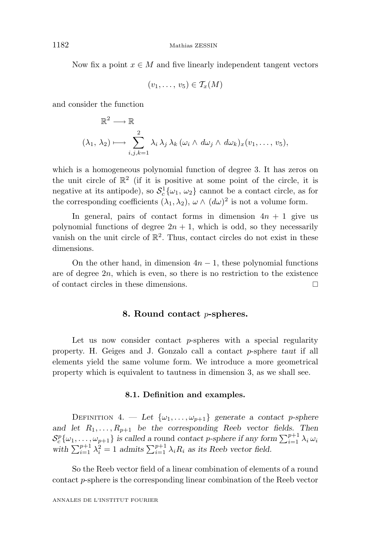Now fix a point  $x \in M$  and five linearly independent tangent vectors

$$
(v_1,\ldots,v_5)\in T_x(M)
$$

and consider the function

$$
\mathbb{R}^2 \longrightarrow \mathbb{R}
$$
  

$$
(\lambda_1, \lambda_2) \longmapsto \sum_{i,j,k=1}^2 \lambda_i \lambda_j \lambda_k (\omega_i \wedge d\omega_j \wedge d\omega_k)_x (v_1, \dots, v_5),
$$

which is a homogeneous polynomial function of degree 3. It has zeros on the unit circle of  $\mathbb{R}^2$  (if it is positive at some point of the circle, it is negative at its antipode), so  $S_c^1\{\omega_1, \omega_2\}$  cannot be a contact circle, as for the corresponding coefficients  $(\lambda_1, \lambda_2)$ ,  $\omega \wedge (d\omega)^2$  is not a volume form.

In general, pairs of contact forms in dimension  $4n + 1$  give us polynomial functions of degree  $2n + 1$ , which is odd, so they necessarily vanish on the unit circle of  $\mathbb{R}^2$ . Thus, contact circles do not exist in these dimensions.

On the other hand, in dimension  $4n - 1$ , these polynomial functions are of degree 2*n*, which is even, so there is no restriction to the existence of contact circles in these dimensions.

#### **8. Round contact** *p***-spheres.**

Let us now consider contact *p*-spheres with a special regularity property. H. Geiges and J. Gonzalo call a contact *p*-sphere *taut* if all elements yield the same volume form. We introduce a more geometrical property which is equivalent to tautness in dimension 3, as we shall see.

#### **8.1. Definition and examples.**

DEFINITION 4. — Let  $\{\omega_1, \ldots, \omega_{p+1}\}\$  generate a contact p-sphere and let  $R_1, \ldots, R_{p+1}$  be the corresponding Reeb vector fields. Then  $\mathcal{S}_c^p\{\omega_1,\ldots,\omega_{p+1}\}\$  is called a round contact *p*-sphere if any form  $\sum_{i=1}^{p+1} \lambda_i \omega_i$ with  $\sum_{i=1}^{p+1} \lambda_i^2 = 1$  *admits*  $\sum_{i=1}^{p+1} \lambda_i R_i$  *as its Reeb vector field.* 

So the Reeb vector field of a linear combination of elements of a round contact *p*-sphere is the corresponding linear combination of the Reeb vector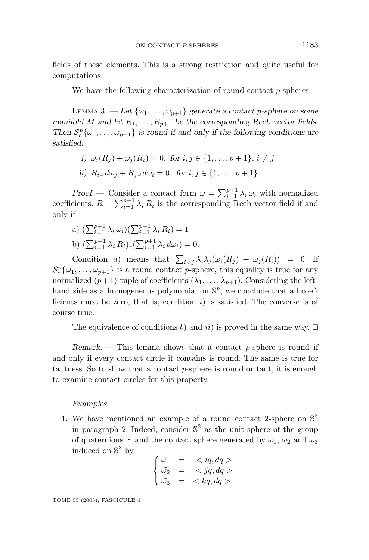fields of these elements. This is a strong restriction and quite useful for computations.

We have the following characterization of round contact *p*-spheres:

LEMMA 3.  $-$  Let  $\{\omega_1, \ldots, \omega_{p+1}\}\$  generate a contact p-sphere on some *manifold M* and let  $R_1, \ldots, R_{p+1}$  be the corresponding Reeb vector fields. *Then*  $S_c^p \{ \omega_1, \ldots, \omega_{p+1} \}$  *is round if and only if the following conditions are satisfied:*

- *i*)  $\omega_i(R_i) + \omega_j(R_i) = 0$ , for  $i, j \in \{1, \ldots, p+1\}, i \neq j$
- *ii*)  $R_i \text{ and } d\omega_i + R_i \text{ and } d\omega_i = 0, \text{ for } i, j \in \{1, \ldots, p+1\}.$

*Proof.* — Consider a contact form  $\omega = \sum_{i=1}^{p+1} \lambda_i \omega_i$  with normalized coefficients.  $R = \sum_{i=1}^{p+1} \lambda_i R_i$  is the corresponding Reeb vector field if and only if

- a)  $(\sum_{i=1}^{p+1} \lambda_i \omega_i)(\sum_{i=1}^{p+1} \lambda_i R_i) = 1$
- b)  $(\sum_{i=1}^{p+1} \lambda_i R_i) \lrcorner (\sum_{i=1}^{p+1} \lambda_i d\omega_i) = 0.$

Condition *a*) means that  $\sum_{i < j} \lambda_i \lambda_j (\omega_i(R_j) + \omega_j(R_i)) = 0$ . If  $S_c^p\{\omega_1,\ldots,\omega_{p+1}\}\$ is a round contact *p*-sphere, this equality is true for any normalized  $(p+1)$ -tuple of coefficients  $(\lambda_1, \ldots, \lambda_{p+1})$ . Considering the lefthand side as a homogeneous polynomial on  $\mathbb{S}^p$ , we conclude that all coefficients must be zero, that is, condition *i*) is satisfied. The converse is of course true.

The equivalence of conditions *b*) and *ii*) is proved in the same way.  $\Box$ 

*Remark*. — This lemma shows that a contact *p*-sphere is round if and only if every contact circle it contains is round. The same is true for tautness. So to show that a contact *p*-sphere is round or taut, it is enough to examine contact circles for this property.

#### *Examples. —*

1. We have mentioned an example of a round contact 2-sphere on  $\mathbb{S}^3$ in paragraph 2. Indeed, consider  $\mathbb{S}^3$  as the unit sphere of the group of quaternions H and the contact sphere generated by  $\omega_1$ ,  $\omega_2$  and  $\omega_3$ induced on  $\mathbb{S}^3$  by

$$
\begin{cases}\n\tilde{\omega_1} = < iq, dq > \\
\tilde{\omega_2} = < jq, dq > \\
\tilde{\omega_3} = < kq, dq > \n\end{cases}
$$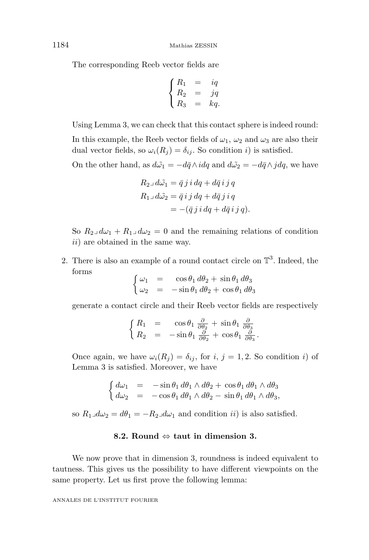The corresponding Reeb vector fields are

$$
\begin{cases}\nR_1 = iq \\
R_2 = jq \\
R_3 = kq.\n\end{cases}
$$

Using Lemma 3, we can check that this contact sphere is indeed round: In this example, the Reeb vector fields of  $\omega_1$ ,  $\omega_2$  and  $\omega_3$  are also their dual vector fields, so  $\omega_i(R_j) = \delta_{ij}$ . So condition *i*) is satisfied.

On the other hand, as  $d\tilde{\omega_1} = -d\bar{q} \wedge idq$  and  $d\tilde{\omega_2} = -d\bar{q} \wedge jdq$ , we have

$$
R_{2\perp}d\tilde{\omega_1} = \bar{q} j i dq + d\bar{q} ij q
$$
  
\n
$$
R_{1\perp}d\tilde{\omega_2} = \bar{q} ij dq + d\bar{q} ji q
$$
  
\n
$$
= -(\bar{q} ji dq + d\bar{q} ij q).
$$

- So  $R_2 \text{ and } R_1 + R_1 \text{ and } \omega_2 = 0$  and the remaining relations of condition *ii*) are obtained in the same way.
- 2. There is also an example of a round contact circle on  $\mathbb{T}^3$ . Indeed, the forms

$$
\begin{cases}\n\omega_1 = \cos \theta_1 d\theta_2 + \sin \theta_1 d\theta_3 \\
\omega_2 = -\sin \theta_1 d\theta_2 + \cos \theta_1 d\theta_3\n\end{cases}
$$

generate a contact circle and their Reeb vector fields are respectively

$$
\begin{cases}\nR_1 = \cos \theta_1 \frac{\partial}{\partial \theta_2} + \sin \theta_1 \frac{\partial}{\partial \theta_3} \\
R_2 = -\sin \theta_1 \frac{\partial}{\partial \theta_2} + \cos \theta_1 \frac{\partial}{\partial \theta_3}.\n\end{cases}
$$

Once again, we have  $\omega_i(R_i) = \delta_{ij}$ , for *i*,  $j = 1, 2$ . So condition *i*) of Lemma 3 is satisfied. Moreover, we have

$$
\begin{cases}\nd\omega_1 = -\sin\theta_1 \, d\theta_1 \wedge d\theta_2 + \cos\theta_1 \, d\theta_1 \wedge d\theta_3 \\
d\omega_2 = -\cos\theta_1 \, d\theta_1 \wedge d\theta_2 - \sin\theta_1 \, d\theta_1 \wedge d\theta_3,\n\end{cases}
$$

so  $R_1 \Box d\omega_2 = d\theta_1 = -R_2 \Box d\omega_1$  and condition *ii*) is also satisfied.

#### **8.2. Round** ⇔ **taut in dimension 3.**

We now prove that in dimension 3, roundness is indeed equivalent to tautness. This gives us the possibility to have different viewpoints on the same property. Let us first prove the following lemma: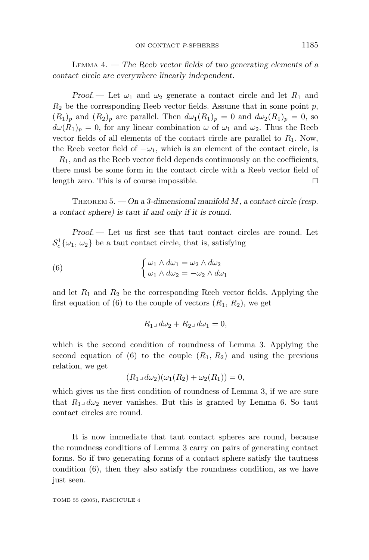LEMMA 4. *— The Reeb vector fields of two generating elements of a contact circle are everywhere linearly independent.*

*Proof.* — Let  $\omega_1$  and  $\omega_2$  generate a contact circle and let  $R_1$  and  $R_2$  be the corresponding Reeb vector fields. Assume that in some point  $p$ ,  $(R_1)_p$  and  $(R_2)_p$  are parallel. Then  $d\omega_1(R_1)_p = 0$  and  $d\omega_2(R_1)_p = 0$ , so  $d\omega(R_1)_p = 0$ , for any linear combination  $\omega$  of  $\omega_1$  and  $\omega_2$ . Thus the Reeb vector fields of all elements of the contact circle are parallel to *R*1. Now, the Reeb vector field of  $-\omega_1$ , which is an element of the contact circle, is  $-R_1$ , and as the Reeb vector field depends continuously on the coefficients, there must be some form in the contact circle with a Reeb vector field of length zero. This is of course impossible.

THEOREM 5. *— On a 3-dimensional manifold M, a contact circle (resp. a contact sphere) is taut if and only if it is round.*

*Proof*. — Let us first see that taut contact circles are round. Let  $S_c^1\{\omega_1, \omega_2\}$  be a taut contact circle, that is, satisfying

(6) 
$$
\begin{cases} \omega_1 \wedge d\omega_1 = \omega_2 \wedge d\omega_2 \\ \omega_1 \wedge d\omega_2 = -\omega_2 \wedge d\omega_1 \end{cases}
$$

and let  $R_1$  and  $R_2$  be the corresponding Reeb vector fields. Applying the first equation of  $(6)$  to the couple of vectors  $(R_1, R_2)$ , we get

$$
R_1 \lrcorner \, d\omega_2 + R_2 \lrcorner \, d\omega_1 = 0,
$$

which is the second condition of roundness of Lemma 3. Applying the second equation of (6) to the couple  $(R_1, R_2)$  and using the previous relation, we get

$$
(R_1 \Box d\omega_2)(\omega_1(R_2) + \omega_2(R_1)) = 0,
$$

which gives us the first condition of roundness of Lemma 3, if we are sure that  $R_1 \perp d\omega_2$  never vanishes. But this is granted by Lemma 6. So taut contact circles are round.

It is now immediate that taut contact spheres are round, because the roundness conditions of Lemma 3 carry on pairs of generating contact forms. So if two generating forms of a contact sphere satisfy the tautness condition (6), then they also satisfy the roundness condition, as we have just seen.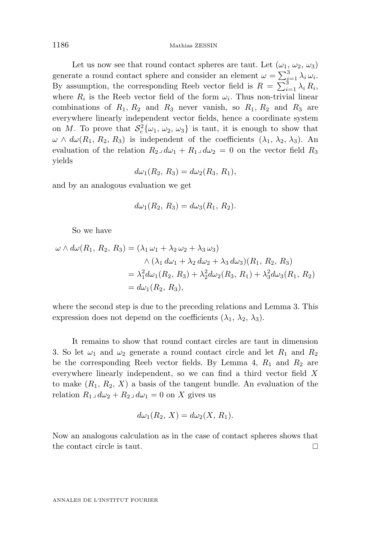1186 Mathias ZESSIN

Let us now see that round contact spheres are taut. Let  $(\omega_1, \omega_2, \omega_3)$ generate a round contact sphere and consider an element  $\omega = \sum_{i=1}^{3} \lambda_i \omega_i$ . By assumption, the corresponding Reeb vector field is  $R = \sum_{i=1}^{3} \lambda_i R_i$ , where  $R_i$  is the Reeb vector field of the form  $\omega_i$ . Thus non-trivial linear combinations of  $R_1, R_2$  and  $R_3$  never vanish, so  $R_1, R_2$  and  $R_3$  are everywhere linearly independent vector fields, hence a coordinate system on *M*. To prove that  $S_c^2\{\omega_1, \omega_2, \omega_3\}$  is taut, it is enough to show that *ω* ∧ *dω*(*R*<sub>1</sub>*, R*<sub>2</sub>*, R*<sub>3</sub>) is independent of the coefficients ( $λ$ <sub>1</sub>*,*  $λ$ <sub>2</sub>*,*  $λ$ <sub>3</sub>). An evaluation of the relation  $R_2 \Box d\omega_1 + R_1 \Box d\omega_2 = 0$  on the vector field  $R_3$ yields

$$
d\omega_1(R_2, R_3) = d\omega_2(R_3, R_1),
$$

and by an analogous evaluation we get

$$
d\omega_1(R_2, R_3) = d\omega_3(R_1, R_2).
$$

So we have

$$
\omega \wedge d\omega(R_1, R_2, R_3) = (\lambda_1 \omega_1 + \lambda_2 \omega_2 + \lambda_3 \omega_3)
$$
  

$$
\wedge (\lambda_1 d\omega_1 + \lambda_2 d\omega_2 + \lambda_3 d\omega_3)(R_1, R_2, R_3)
$$
  

$$
= \lambda_1^2 d\omega_1(R_2, R_3) + \lambda_2^2 d\omega_2(R_3, R_1) + \lambda_3^2 d\omega_3(R_1, R_2)
$$
  

$$
= d\omega_1(R_2, R_3),
$$

where the second step is due to the preceding relations and Lemma 3. This expression does not depend on the coefficients  $(\lambda_1, \lambda_2, \lambda_3)$ .

It remains to show that round contact circles are taut in dimension 3. So let  $\omega_1$  and  $\omega_2$  generate a round contact circle and let  $R_1$  and  $R_2$ be the corresponding Reeb vector fields. By Lemma 4,  $R_1$  and  $R_2$  are everywhere linearly independent, so we can find a third vector field *X* to make  $(R_1, R_2, X)$  a basis of the tangent bundle. An evaluation of the relation  $R_1 \Box d\omega_2 + R_2 \Box d\omega_1 = 0$  on X gives us

$$
d\omega_1(R_2, X) = d\omega_2(X, R_1).
$$

Now an analogous calculation as in the case of contact spheres shows that the contact circle is taut.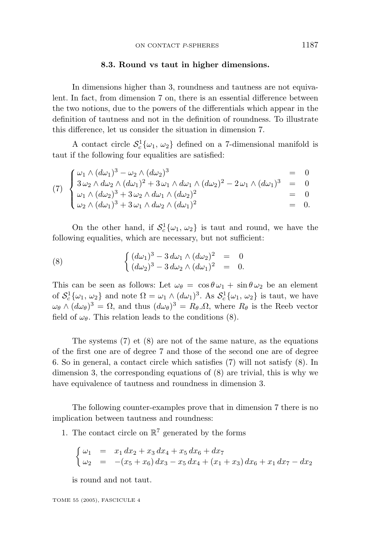#### **8.3. Round vs taut in higher dimensions.**

In dimensions higher than 3, roundness and tautness are not equivalent. In fact, from dimension 7 on, there is an essential difference between the two notions, due to the powers of the differentials which appear in the definition of tautness and not in the definition of roundness. To illustrate this difference, let us consider the situation in dimension 7.

A contact circle  $S_c^1\{\omega_1, \omega_2\}$  defined on a 7-dimensional manifold is taut if the following four equalities are satisfied:

(7) 
$$
\begin{cases} \omega_1 \wedge (d\omega_1)^3 - \omega_2 \wedge (d\omega_2)^3 & = 0 \\ 3 \omega_2 \wedge d\omega_2 \wedge (d\omega_1)^2 + 3 \omega_1 \wedge d\omega_1 \wedge (d\omega_2)^2 - 2 \omega_1 \wedge (d\omega_1)^3 & = 0 \\ \omega_1 \wedge (d\omega_2)^3 + 3 \omega_2 \wedge d\omega_1 \wedge (d\omega_2)^2 & = 0 \\ \omega_2 \wedge (d\omega_1)^3 + 3 \omega_1 \wedge d\omega_2 \wedge (d\omega_1)^2 & = 0. \end{cases}
$$

On the other hand, if  $S_c^1\{\omega_1, \omega_2\}$  is taut and round, we have the following equalities, which are necessary, but not sufficient:

(8) 
$$
\begin{cases} (d\omega_1)^3 - 3 d\omega_1 \wedge (d\omega_2)^2 = 0 \\ (d\omega_2)^3 - 3 d\omega_2 \wedge (d\omega_1)^2 = 0. \end{cases}
$$

This can be seen as follows: Let  $\omega_{\theta} = \cos \theta \omega_1 + \sin \theta \omega_2$  be an element of  $S_c^1\{\omega_1, \omega_2\}$  and note  $\Omega = \omega_1 \wedge (d\omega_1)^3$ . As  $S_c^1\{\omega_1, \omega_2\}$  is taut, we have  $\omega_{\theta} \wedge (d\omega_{\theta})^3 = \Omega$ , and thus  $(d\omega_{\theta})^3 = R_{\theta}\Omega$ , where  $R_{\theta}$  is the Reeb vector field of  $\omega_{\theta}$ . This relation leads to the conditions (8).

The systems (7) et (8) are not of the same nature, as the equations of the first one are of degree 7 and those of the second one are of degree 6. So in general, a contact circle which satisfies (7) will not satisfy (8). In dimension 3, the corresponding equations of  $(8)$  are trivial, this is why we have equivalence of tautness and roundness in dimension 3.

The following counter-examples prove that in dimension 7 there is no implication between tautness and roundness:

1. The contact circle on  $\mathbb{R}^7$  generated by the forms

$$
\begin{cases}\n\omega_1 = x_1 dx_2 + x_3 dx_4 + x_5 dx_6 + dx_7 \\
\omega_2 = -(x_5 + x_6) dx_3 - x_5 dx_4 + (x_1 + x_3) dx_6 + x_1 dx_7 - dx_2\n\end{cases}
$$

is round and not taut.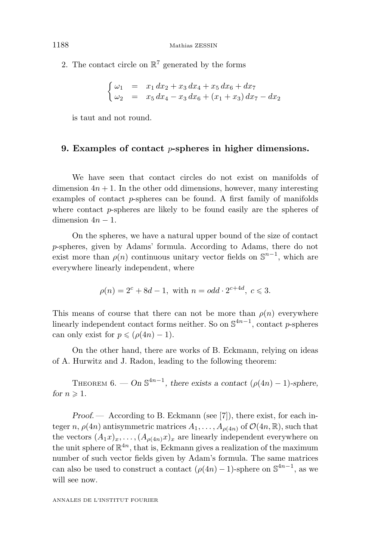2. The contact circle on  $\mathbb{R}^7$  generated by the forms

$$
\begin{cases}\n\omega_1 = x_1 dx_2 + x_3 dx_4 + x_5 dx_6 + dx_7 \\
\omega_2 = x_5 dx_4 - x_3 dx_6 + (x_1 + x_3) dx_7 - dx_2\n\end{cases}
$$

is taut and not round.

#### **9. Examples of contact** *p***-spheres in higher dimensions.**

We have seen that contact circles do not exist on manifolds of dimension  $4n + 1$ . In the other odd dimensions, however, many interesting examples of contact *p*-spheres can be found. A first family of manifolds where contact *p*-spheres are likely to be found easily are the spheres of dimension  $4n - 1$ .

On the spheres, we have a natural upper bound of the size of contact *p*-spheres, given by Adams' formula. According to Adams, there do not exist more than  $\rho(n)$  continuous unitary vector fields on  $\mathbb{S}^{n-1}$ , which are everywhere linearly independent, where

$$
\rho(n) = 2^c + 8d - 1, \text{ with } n = odd \cdot 2^{c+4d}, \ c \leq 3.
$$

This means of course that there can not be more than  $\rho(n)$  everywhere linearly independent contact forms neither. So on  $\mathbb{S}^{4n-1}$ , contact *p*-spheres can only exist for  $p \leqslant (\rho(4n) - 1)$ .

On the other hand, there are works of B. Eckmann, relying on ideas of A. Hurwitz and J. Radon, leading to the following theorem:

THEOREM 6. — On  $\mathbb{S}^{4n-1}$ , there exists a contact  $(\rho(4n) - 1)$ -sphere, *for*  $n \geqslant 1$ *.* 

*Proof.* — According to B. Eckmann (see [7]), there exist, for each integer *n*,  $\rho(4n)$  antisymmetric matrices  $A_1, \ldots, A_{\rho(4n)}$  of  $\mathcal{O}(4n, \mathbb{R})$ , such that the vectors  $(A_1x)_x, \ldots, (A_{\rho(4n)}x)_x$  are linearly independent everywhere on the unit sphere of  $\mathbb{R}^{4n}$ , that is, Eckmann gives a realization of the maximum number of such vector fields given by Adam's formula. The same matrices can also be used to construct a contact  $(\rho(4n) - 1)$ -sphere on  $\mathbb{S}^{4n-1}$ , as we will see now.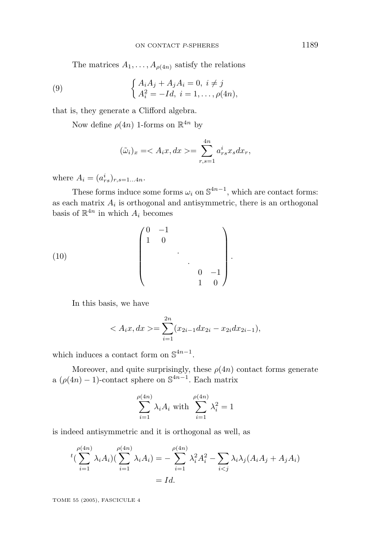The matrices  $A_1, \ldots, A_{\rho(4n)}$  satisfy the relations

(9) 
$$
\begin{cases} A_i A_j + A_j A_i = 0, \ i \neq j \\ A_i^2 = -Id, \ i = 1, ..., \rho(4n), \end{cases}
$$

that is, they generate a Clifford algebra.

Now define  $\rho(4n)$  1-forms on  $\mathbb{R}^{4n}$  by

$$
(\tilde{\omega}_i)_x = \langle A_i x, dx \rangle = \sum_{r,s=1}^{4n} a_{rs}^i x_s dx_r,
$$

where  $A_i = (a_{rs}^i)_{r,s=1...4n}$ .

These forms induce some forms  $\omega_i$  on  $\mathbb{S}^{4n-1}$ , which are contact forms: as each matrix  $A_i$  is orthogonal and antisymmetric, there is an orthogonal basis of  $\mathbb{R}^{4n}$  in which  $A_i$  becomes

(10) 
$$
\begin{pmatrix} 0 & -1 & & & \\ 1 & 0 & & & \\ & & \ddots & & \\ & & & 0 & -1 \\ & & & & 1 & 0 \end{pmatrix}.
$$

In this basis, we have

$$
\langle A_i x, dx \rangle = \sum_{i=1}^{2n} (x_{2i-1} dx_{2i} - x_{2i} dx_{2i-1}),
$$

which induces a contact form on  $\mathbb{S}^{4n-1}$ .

Moreover, and quite surprisingly, these  $\rho(4n)$  contact forms generate a  $(\rho(4n) - 1)$ -contact sphere on  $\mathbb{S}^{4n-1}$ . Each matrix

$$
\sum_{i=1}^{\rho(4n)} \lambda_i A_i \text{ with } \sum_{i=1}^{\rho(4n)} \lambda_i^2 = 1
$$

is indeed antisymmetric and it is orthogonal as well, as

$$
{}^{t}(\sum_{i=1}^{\rho(4n)} \lambda_{i}A_{i})(\sum_{i=1}^{\rho(4n)} \lambda_{i}A_{i}) = -\sum_{i=1}^{\rho(4n)} \lambda_{i}^{2}A_{i}^{2} - \sum_{i < j} \lambda_{i}\lambda_{j}(A_{i}A_{j} + A_{j}A_{i})
$$
\n
$$
= Id.
$$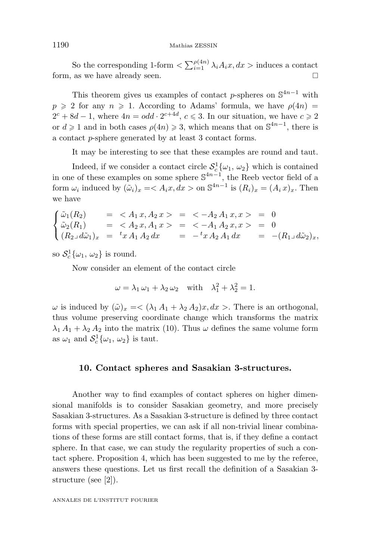So the corresponding 1-form  $\langle \sum_{i=1}^{\rho(4n)} \lambda_i A_i x, dx \rangle$  induces a contact form, as we have already seen.

This theorem gives us examples of contact *p*-spheres on  $\mathbb{S}^{4n-1}$  with  $p \ge 2$  for any  $n \ge 1$ . According to Adams' formula, we have  $\rho(4n)$  =  $2^c + 8d - 1$ , where  $4n = odd \cdot 2^{c+4d}$ ,  $c \le 3$ . In our situation, we have  $c \ge 2$ or  $d \ge 1$  and in both cases  $\rho(4n) \ge 3$ , which means that on  $\mathbb{S}^{4n-1}$ , there is a contact *p*-sphere generated by at least 3 contact forms.

It may be interesting to see that these examples are round and taut.

Indeed, if we consider a contact circle  $S_c^1\{\omega_1, \omega_2\}$  which is contained in one of these examples on some sphere S<sup>4</sup>*n*−<sup>1</sup>, the Reeb vector field of a form  $\omega_i$  induced by  $(\tilde{\omega}_i)_x = \langle A_i x, dx \rangle$  on  $\mathbb{S}^{4n-1}$  is  $(R_i)_x = (A_i x)_x$ . Then we have

$$
\begin{cases}\n\tilde{\omega}_1(R_2) & = \langle A_1 x, A_2 x \rangle = \langle -A_2 A_1 x, x \rangle = 0 \\
\tilde{\omega}_2(R_1) & = \langle A_2 x, A_1 x \rangle = \langle -A_1 A_2 x, x \rangle = 0 \\
(R_2 \Box d\tilde{\omega}_1)_x & = \langle x A_1 A_2 dx \rangle = -\langle x A_2 A_1 dx \rangle = -(R_1 \Box d\tilde{\omega}_2)_x,\n\end{cases}
$$

so  $S_c^1\{\omega_1, \omega_2\}$  is round.

Now consider an element of the contact circle

$$
\omega = \lambda_1 \omega_1 + \lambda_2 \omega_2 \quad \text{with} \quad \lambda_1^2 + \lambda_2^2 = 1.
$$

 $\omega$  is induced by  $(\tilde{\omega})_x = \langle (\lambda_1 A_1 + \lambda_2 A_2) x, dx \rangle$ . There is an orthogonal, thus volume preserving coordinate change which transforms the matrix  $\lambda_1 A_1 + \lambda_2 A_2$  into the matrix (10). Thus  $\omega$  defines the same volume form as  $\omega_1$  and  $\mathcal{S}_c^1\{\omega_1, \omega_2\}$  is taut.

#### **10. Contact spheres and Sasakian 3-structures.**

Another way to find examples of contact spheres on higher dimensional manifolds is to consider Sasakian geometry, and more precisely Sasakian 3-structures. As a Sasakian 3-structure is defined by three contact forms with special properties, we can ask if all non-trivial linear combinations of these forms are still contact forms, that is, if they define a contact sphere. In that case, we can study the regularity properties of such a contact sphere. Proposition 4, which has been suggested to me by the referee, answers these questions. Let us first recall the definition of a Sasakian 3 structure (see [2]).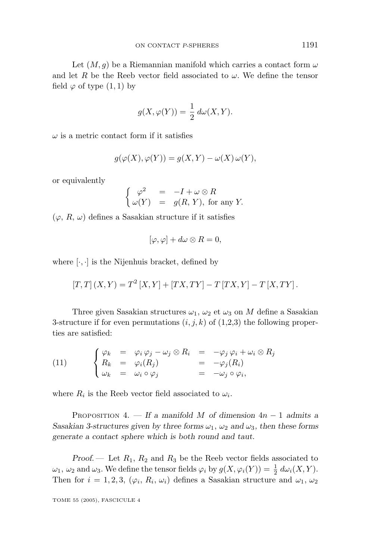Let  $(M, q)$  be a Riemannian manifold which carries a contact form  $\omega$ and let *R* be the Reeb vector field associated to  $\omega$ . We define the tensor field  $\varphi$  of type  $(1, 1)$  by

$$
g(X, \varphi(Y)) = \frac{1}{2} d\omega(X, Y).
$$

 $\omega$  is a metric contact form if it satisfies

$$
g(\varphi(X), \varphi(Y)) = g(X, Y) - \omega(X) \omega(Y),
$$

or equivalently

$$
\begin{cases}\n\varphi^2 = -I + \omega \otimes R \\
\omega(Y) = g(R, Y), \text{ for any } Y.\n\end{cases}
$$

 $(\varphi, R, \omega)$  defines a Sasakian structure if it satisfies

$$
[\varphi,\varphi]+d\omega\otimes R=0,
$$

where  $[\cdot, \cdot]$  is the Nijenhuis bracket, defined by

$$
\left[T,T\right](X,Y)=T^2\left[X,Y\right]+\left[TX,TY\right]-T\left[TX,Y\right]-T\left[X,TY\right].
$$

Three given Sasakian structures  $\omega_1$ ,  $\omega_2$  et  $\omega_3$  on *M* define a Sasakian 3-structure if for even permutations  $(i, j, k)$  of  $(1,2,3)$  the following properties are satisfied:

(11) 
$$
\begin{cases} \varphi_k = \varphi_i \varphi_j - \omega_j \otimes R_i = -\varphi_j \varphi_i + \omega_i \otimes R_j \\ R_k = \varphi_i(R_j) = -\varphi_j(R_i) \\ \omega_k = \omega_i \circ \varphi_j = -\omega_j \circ \varphi_i, \end{cases}
$$

where  $R_i$  is the Reeb vector field associated to  $\omega_i$ .

PROPOSITION 4.  $-$  If a manifold *M* of dimension  $4n - 1$  admits a *Sasakian 3-structures given by three forms*  $\omega_1$ ,  $\omega_2$  *and*  $\omega_3$ *, then these forms generate a contact sphere which is both round and taut.*

*Proof*. — Let *R*1*, R*<sup>2</sup> and *R*<sup>3</sup> be the Reeb vector fields associated to  $\omega_1$ ,  $\omega_2$  and  $\omega_3$ . We define the tensor fields  $\varphi_i$  by  $g(X, \varphi_i(Y)) = \frac{1}{2} d\omega_i(X, Y)$ . Then for  $i = 1, 2, 3, (\varphi_i, R_i, \omega_i)$  defines a Sasakian structure and  $\omega_1, \omega_2$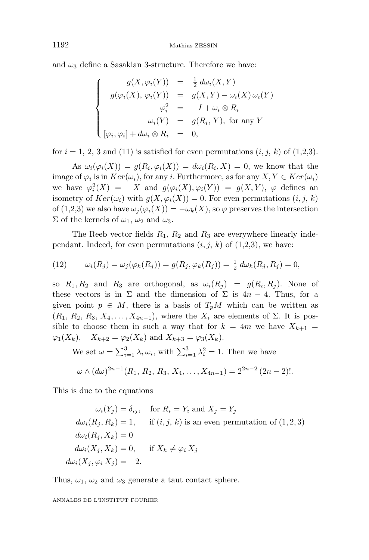and  $\omega_3$  define a Sasakian 3-structure. Therefore we have:

$$
\begin{cases}\ng(X, \varphi_i(Y)) = \frac{1}{2} d\omega_i(X, Y) \\
g(\varphi_i(X), \varphi_i(Y)) = g(X, Y) - \omega_i(X) \omega_i(Y) \\
\varphi_i^2 = -I + \omega_i \otimes R_i \\
\omega_i(Y) = g(R_i, Y), \text{ for any } Y \\
[\varphi_i, \varphi_i] + d\omega_i \otimes R_i = 0,\n\end{cases}
$$

for  $i = 1, 2, 3$  and (11) is satisfied for even permutations  $(i, j, k)$  of  $(1,2,3)$ .

As  $\omega_i(\varphi_i(X)) = g(R_i, \varphi_i(X)) = d\omega_i(R_i, X) = 0$ , we know that the image of  $\varphi_i$  is in  $Ker(\omega_i)$ , for any *i*. Furthermore, as for any  $X, Y \in Ker(\omega_i)$ we have  $\varphi_i^2(X) = -X$  and  $g(\varphi_i(X), \varphi_i(Y)) = g(X, Y), \varphi$  defines an isometry of  $Ker(\omega_i)$  with  $g(X, \varphi_i(X)) = 0$ . For even permutations  $(i, j, k)$ of  $(1,2,3)$  we also have  $\omega_i(\varphi_i(X)) = -\omega_k(X)$ , so  $\varphi$  preserves the intersection Σ of the kernels of *ω*1*, ω*<sup>2</sup> and *ω*3.

The Reeb vector fields *R*1*, R*<sup>2</sup> and *R*<sup>3</sup> are everywhere linearly independant. Indeed, for even permutations  $(i, j, k)$  of  $(1,2,3)$ , we have:

(12) 
$$
\omega_i(R_j) = \omega_j(\varphi_k(R_j)) = g(R_j, \varphi_k(R_j)) = \frac{1}{2} d\omega_k(R_j, R_j) = 0,
$$

so  $R_1, R_2$  and  $R_3$  are orthogonal, as  $\omega_i(R_i) = g(R_i, R_i)$ . None of these vectors is in  $\Sigma$  and the dimension of  $\Sigma$  is  $4n-4$ . Thus, for a given point  $p \in M$ , there is a basis of  $T_pM$  which can be written as  $(R_1, R_2, R_3, X_4, \ldots, X_{4n-1})$ , where the  $X_i$  are elements of  $\Sigma$ . It is possible to choose them in such a way that for  $k = 4m$  we have  $X_{k+1} =$  $\varphi_1(X_k)$ ,  $X_{k+2} = \varphi_2(X_k)$  and  $X_{k+3} = \varphi_3(X_k)$ .

We set  $\omega = \sum_{i=1}^{3} \lambda_i \omega_i$ , with  $\sum_{i=1}^{3} \lambda_i^2 = 1$ . Then we have

$$
\omega \wedge (d\omega)^{2n-1}(R_1, R_2, R_3, X_4, \ldots, X_{4n-1}) = 2^{2n-2} (2n-2)!
$$

This is due to the equations

$$
\omega_i(Y_j) = \delta_{ij}, \quad \text{for } R_i = Y_i \text{ and } X_j = Y_j
$$
  
\n
$$
d\omega_i(R_j, R_k) = 1, \quad \text{if } (i, j, k) \text{ is an even permutation of } (1, 2, 3)
$$
  
\n
$$
d\omega_i(R_j, X_k) = 0
$$
  
\n
$$
d\omega_i(X_j, X_k) = 0, \quad \text{if } X_k \neq \varphi_i X_j
$$
  
\n
$$
d\omega_i(X_j, \varphi_i X_j) = -2.
$$

Thus,  $\omega_1$ ,  $\omega_2$  and  $\omega_3$  generate a taut contact sphere.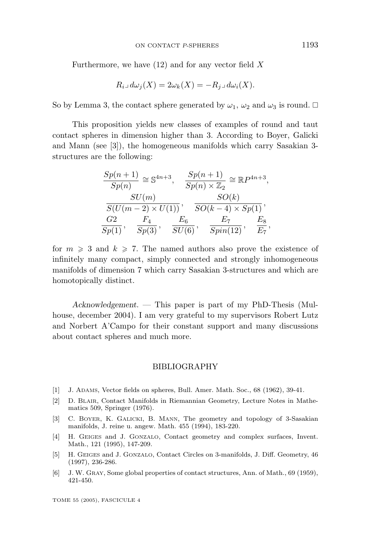Furthermore, we have (12) and for any vector field *X*

$$
R_i \lrcorner \, d\omega_j(X) = 2\omega_k(X) = -R_j \lrcorner \, d\omega_i(X).
$$

So by Lemma 3, the contact sphere generated by  $\omega_1$ ,  $\omega_2$  and  $\omega_3$  is round.  $\Box$ 

This proposition yields new classes of examples of round and taut contact spheres in dimension higher than 3. According to Boyer, Galicki and Mann (see [3]), the homogeneous manifolds which carry Sasakian 3 structures are the following:

$$
\frac{Sp(n+1)}{Sp(n)} \cong \mathbb{S}^{4n+3}, \quad \frac{Sp(n+1)}{Sp(n) \times \mathbb{Z}_2} \cong \mathbb{R}P^{4n+3},
$$
  

$$
\frac{SU(m)}{S(U(m-2) \times U(1))}, \quad \frac{SO(k)}{SO(k-4) \times Sp(1)},
$$
  

$$
\frac{G2}{Sp(1)}, \quad \frac{F_4}{Sp(3)}, \quad \frac{E_6}{SU(6)}, \quad \frac{E_7}{Spin(12)}, \quad \frac{E_8}{E_7},
$$

for  $m \geqslant 3$  and  $k \geqslant 7$ . The named authors also prove the existence of infinitely many compact, simply connected and strongly inhomogeneous manifolds of dimension 7 which carry Sasakian 3-structures and which are homotopically distinct.

*Acknowledgement*. — This paper is part of my PhD-Thesis (Mulhouse, december 2004). I am very grateful to my supervisors Robert Lutz and Norbert A'Campo for their constant support and many discussions about contact spheres and much more.

#### BIBLIOGRAPHY

- [1] J. ADAMS, Vector fields on spheres, Bull. Amer. Math. Soc., 68 (1962), 39-41.
- [2] D. BLAIR, Contact Manifolds in Riemannian Geometry, Lecture Notes in Mathematics 509, Springer (1976).
- [3] C. BOYER, K. GALICKI, B. MANN, The geometry and topology of 3-Sasakian manifolds, J. reine u. angew. Math. 455 (1994), 183-220.
- [4] H. GEIGES and J. GONZALO, Contact geometry and complex surfaces, Invent. Math., 121 (1995), 147-209.
- [5] H. GEIGES and J. GONZALO, Contact Circles on 3-manifolds, J. Diff. Geometry, 46 (1997), 236-286.
- [6] J. W. GRAY, Some global properties of contact structures, Ann. of Math., 69 (1959), 421-450.